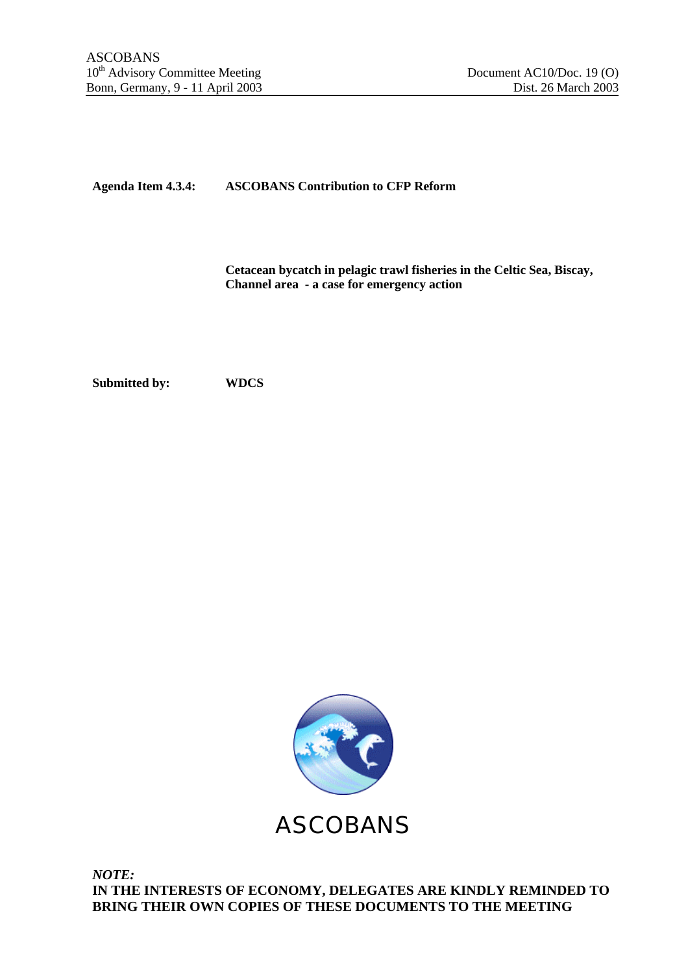# **Agenda Item 4.3.4: ASCOBANS Contribution to CFP Reform**

**Cetacean bycatch in pelagic trawl fisheries in the Celtic Sea, Biscay, Channel area - a case for emergency action**

**Submitted by: WDCS**



ASCOBANS

*NOTE:* **IN THE INTERESTS OF ECONOMY, DELEGATES ARE KINDLY REMINDED TO BRING THEIR OWN COPIES OF THESE DOCUMENTS TO THE MEETING**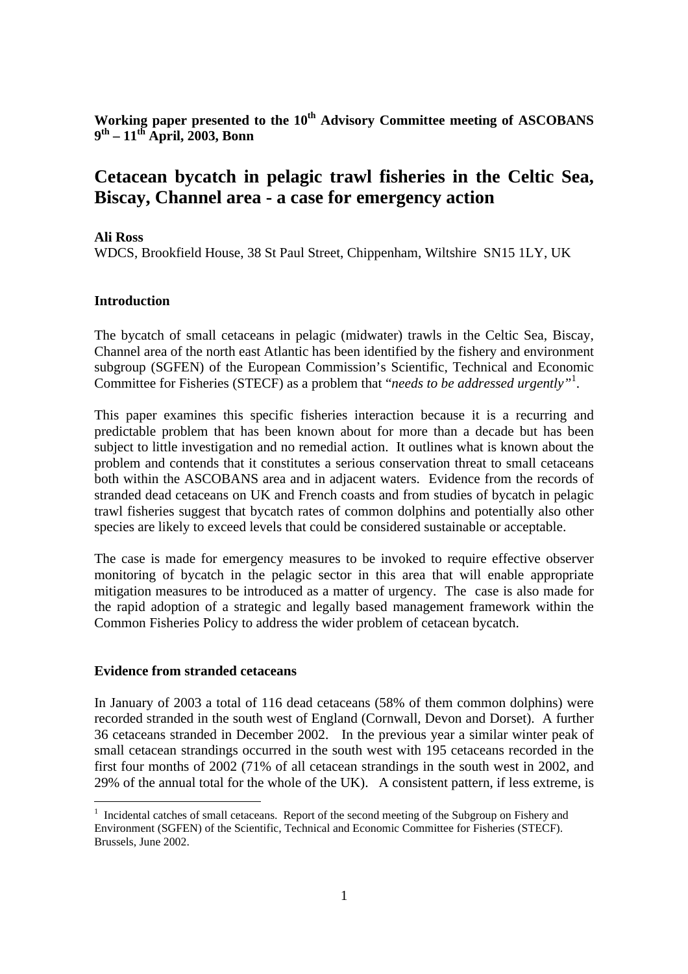**Working paper presented to the 10th Advisory Committee meeting of ASCOBANS 9 th – 11th April, 2003, Bonn**

# **Cetacean bycatch in pelagic trawl fisheries in the Celtic Sea, Biscay, Channel area - a case for emergency action**

#### **Ali Ross**

WDCS, Brookfield House, 38 St Paul Street, Chippenham, Wiltshire SN15 1LY, UK

## **Introduction**

The bycatch of small cetaceans in pelagic (midwater) trawls in the Celtic Sea, Biscay, Channel area of the north east Atlantic has been identified by the fishery and environment subgroup (SGFEN) of the European Commission's Scientific, Technical and Economic Committee for Fisheries (STECF) as a problem that "*needs to be addressed urgently"*<sup>1</sup> .

This paper examines this specific fisheries interaction because it is a recurring and predictable problem that has been known about for more than a decade but has been subject to little investigation and no remedial action. It outlines what is known about the problem and contends that it constitutes a serious conservation threat to small cetaceans both within the ASCOBANS area and in adjacent waters. Evidence from the records of stranded dead cetaceans on UK and French coasts and from studies of bycatch in pelagic trawl fisheries suggest that bycatch rates of common dolphins and potentially also other species are likely to exceed levels that could be considered sustainable or acceptable.

The case is made for emergency measures to be invoked to require effective observer monitoring of bycatch in the pelagic sector in this area that will enable appropriate mitigation measures to be introduced as a matter of urgency. The case is also made for the rapid adoption of a strategic and legally based management framework within the Common Fisheries Policy to address the wider problem of cetacean bycatch.

#### **Evidence from stranded cetaceans**

 $\overline{a}$ 

In January of 2003 a total of 116 dead cetaceans (58% of them common dolphins) were recorded stranded in the south west of England (Cornwall, Devon and Dorset). A further 36 cetaceans stranded in December 2002. In the previous year a similar winter peak of small cetacean strandings occurred in the south west with 195 cetaceans recorded in the first four months of 2002 (71% of all cetacean strandings in the south west in 2002, and 29% of the annual total for the whole of the UK). A consistent pattern, if less extreme, is

<sup>&</sup>lt;sup>1</sup> Incidental catches of small cetaceans. Report of the second meeting of the Subgroup on Fishery and Environment (SGFEN) of the Scientific, Technical and Economic Committee for Fisheries (STECF). Brussels, June 2002.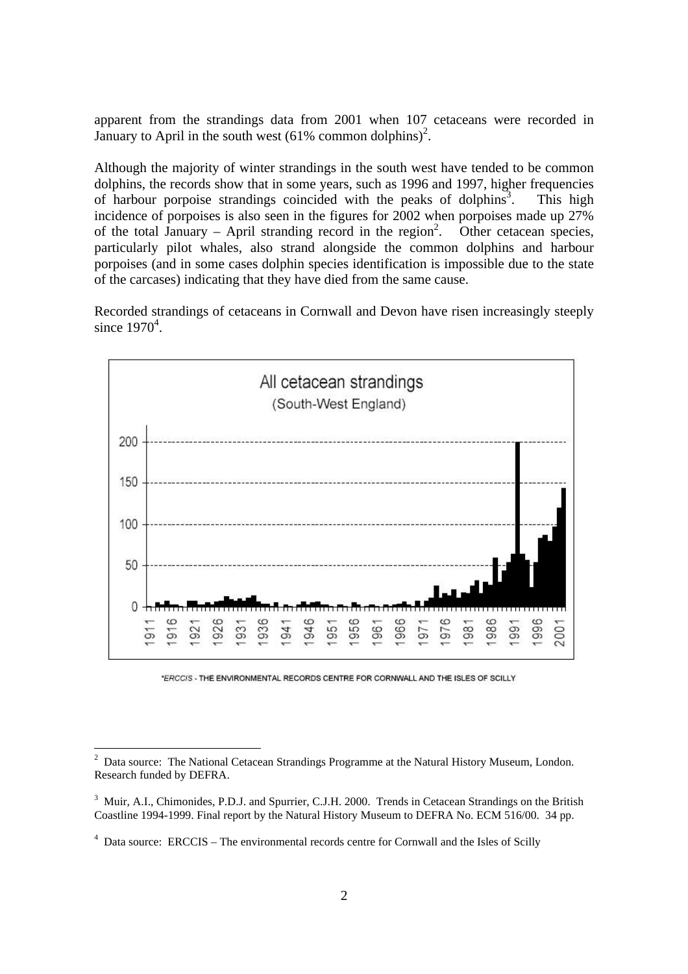apparent from the strandings data from 2001 when 107 cetaceans were recorded in January to April in the south west  $(61\% \text{ common dolphins})^2$ .

Although the majority of winter strandings in the south west have tended to be common dolphins, the records show that in some years, such as 1996 and 1997, higher frequencies of harbour porpoise strandings coincided with the peaks of dolphins<sup>3</sup>. . This high incidence of porpoises is also seen in the figures for 2002 when porpoises made up 27% of the total January – April stranding record in the region<sup>2</sup>. . Other cetacean species, particularly pilot whales, also strand alongside the common dolphins and harbour porpoises (and in some cases dolphin species identification is impossible due to the state of the carcases) indicating that they have died from the same cause.

Recorded strandings of cetaceans in Cornwall and Devon have risen increasingly steeply since  $1970^4$ .



\*ERCCIS - THE ENVIRONMENTAL RECORDS CENTRE FOR CORNWALL AND THE ISLES OF SCILLY

<sup>2</sup> Data source: The National Cetacean Strandings Programme at the Natural History Museum, London. Research funded by DEFRA.

<sup>&</sup>lt;sup>3</sup> Muir, A.I., Chimonides, P.D.J. and Spurrier, C.J.H. 2000. Trends in Cetacean Strandings on the British Coastline 1994-1999. Final report by the Natural History Museum to DEFRA No. ECM 516/00. 34 pp.

<sup>&</sup>lt;sup>4</sup> Data source: ERCCIS – The environmental records centre for Cornwall and the Isles of Scilly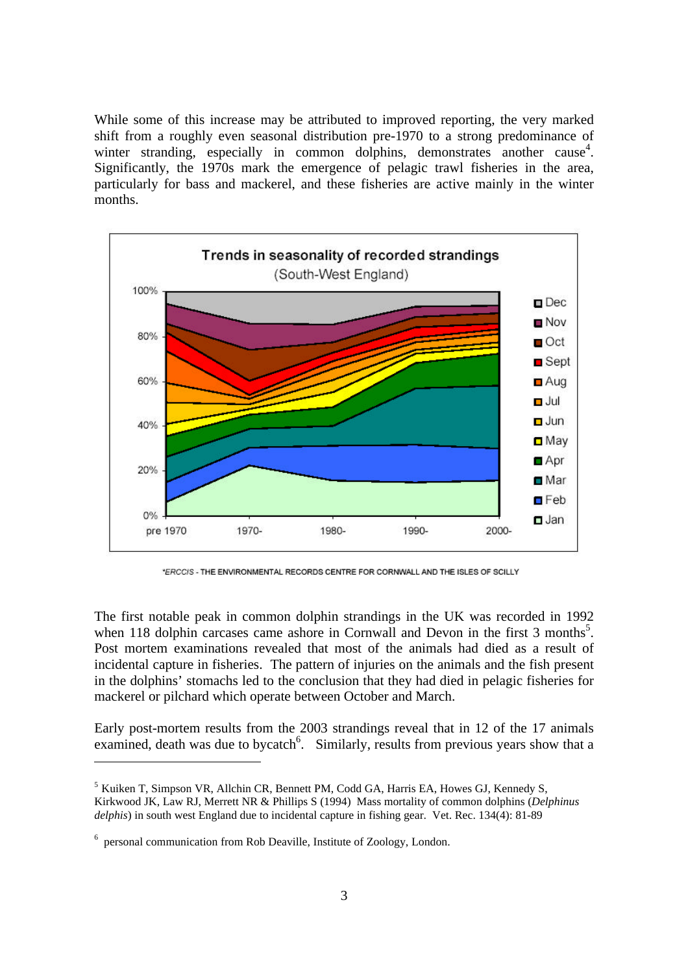While some of this increase may be attributed to improved reporting, the very marked shift from a roughly even seasonal distribution pre-1970 to a strong predominance of winter stranding, especially in common dolphins, demonstrates another cause<sup>4</sup>. Significantly, the 1970s mark the emergence of pelagic trawl fisheries in the area, particularly for bass and mackerel, and these fisheries are active mainly in the winter months.



\*ERCCIS - THE ENVIRONMENTAL RECORDS CENTRE FOR CORNWALL AND THE ISLES OF SCILLY

The first notable peak in common dolphin strandings in the UK was recorded in 1992 when 118 dolphin carcases came ashore in Cornwall and Devon in the first 3 months<sup>5</sup>. Post mortem examinations revealed that most of the animals had died as a result of incidental capture in fisheries. The pattern of injuries on the animals and the fish present in the dolphins' stomachs led to the conclusion that they had died in pelagic fisheries for mackerel or pilchard which operate between October and March.

Early post-mortem results from the 2003 strandings reveal that in 12 of the 17 animals examined, death was due to bycatch<sup>6</sup>. Similarly, results from previous years show that a

<sup>5</sup> Kuiken T, Simpson VR, Allchin CR, Bennett PM, Codd GA, Harris EA, Howes GJ, Kennedy S, Kirkwood JK, Law RJ, Merrett NR & Phillips S (1994) Mass mortality of common dolphins (*Delphinus delphis*) in south west England due to incidental capture in fishing gear. Vet. Rec. 134(4): 81-89

<sup>&</sup>lt;sup>6</sup> personal communication from Rob Deaville, Institute of Zoology, London.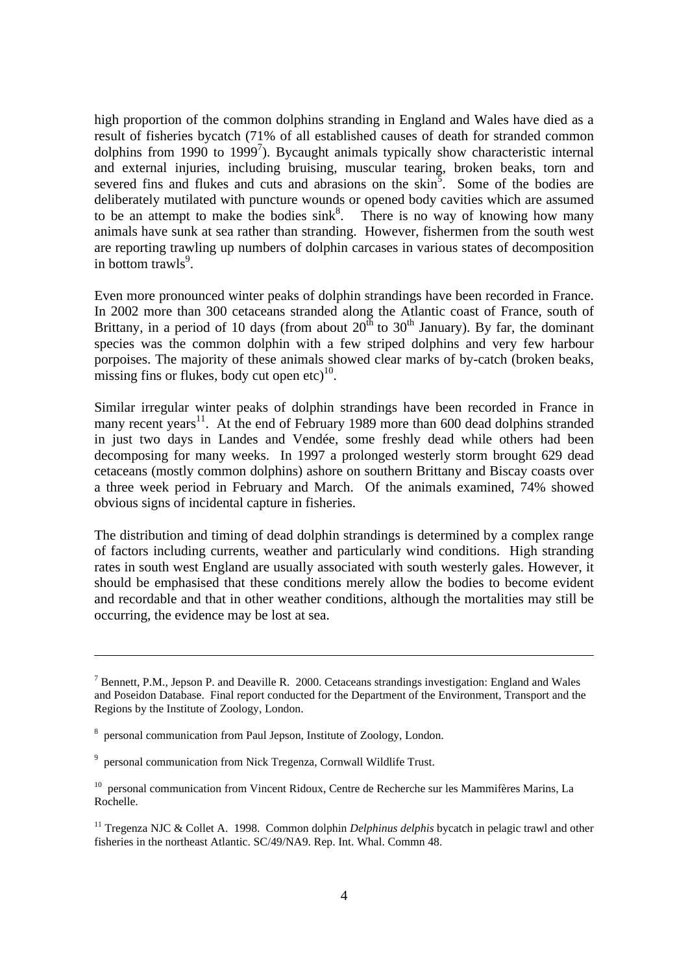high proportion of the common dolphins stranding in England and Wales have died as a result of fisheries bycatch (71% of all established causes of death for stranded common dolphins from 1990 to 1999<sup>7</sup>). Bycaught animals typically show characteristic internal and external injuries, including bruising, muscular tearing, broken beaks, torn and severed fins and flukes and cuts and abrasions on the  $\sin^5$ . Some of the bodies are deliberately mutilated with puncture wounds or opened body cavities which are assumed to be an attempt to make the bodies  $\sin k^8$ . There is no way of knowing how many animals have sunk at sea rather than stranding. However, fishermen from the south west are reporting trawling up numbers of dolphin carcases in various states of decomposition in bottom trawls<sup>9</sup>.

Even more pronounced winter peaks of dolphin strandings have been recorded in France. In 2002 more than 300 cetaceans stranded along the Atlantic coast of France, south of Brittany, in a period of 10 days (from about  $20^{th}$  to  $30^{th}$  January). By far, the dominant species was the common dolphin with a few striped dolphins and very few harbour porpoises. The majority of these animals showed clear marks of by-catch (broken beaks, missing fins or flukes, body cut open  $etc$ )<sup>10</sup>.

Similar irregular winter peaks of dolphin strandings have been recorded in France in many recent years<sup>11</sup>. At the end of February 1989 more than 600 dead dolphins stranded in just two days in Landes and Vendée, some freshly dead while others had been decomposing for many weeks. In 1997 a prolonged westerly storm brought 629 dead cetaceans (mostly common dolphins) ashore on southern Brittany and Biscay coasts over a three week period in February and March. Of the animals examined, 74% showed obvious signs of incidental capture in fisheries.

The distribution and timing of dead dolphin strandings is determined by a complex range of factors including currents, weather and particularly wind conditions. High stranding rates in south west England are usually associated with south westerly gales. However, it should be emphasised that these conditions merely allow the bodies to become evident and recordable and that in other weather conditions, although the mortalities may still be occurring, the evidence may be lost at sea.

<sup>&</sup>lt;sup>7</sup> Bennett, P.M., Jepson P. and Deaville R. 2000. Cetaceans strandings investigation: England and Wales and Poseidon Database. Final report conducted for the Department of the Environment, Transport and the Regions by the Institute of Zoology, London.

<sup>8</sup> personal communication from Paul Jepson, Institute of Zoology, London.

<sup>&</sup>lt;sup>9</sup> personal communication from Nick Tregenza, Cornwall Wildlife Trust.

<sup>&</sup>lt;sup>10</sup> personal communication from Vincent Ridoux, Centre de Recherche sur les Mammifères Marins, La Rochelle.

<sup>11</sup> Tregenza NJC & Collet A. 1998. Common dolphin *Delphinus delphis* bycatch in pelagic trawl and other fisheries in the northeast Atlantic. SC/49/NA9. Rep. Int. Whal. Commn 48.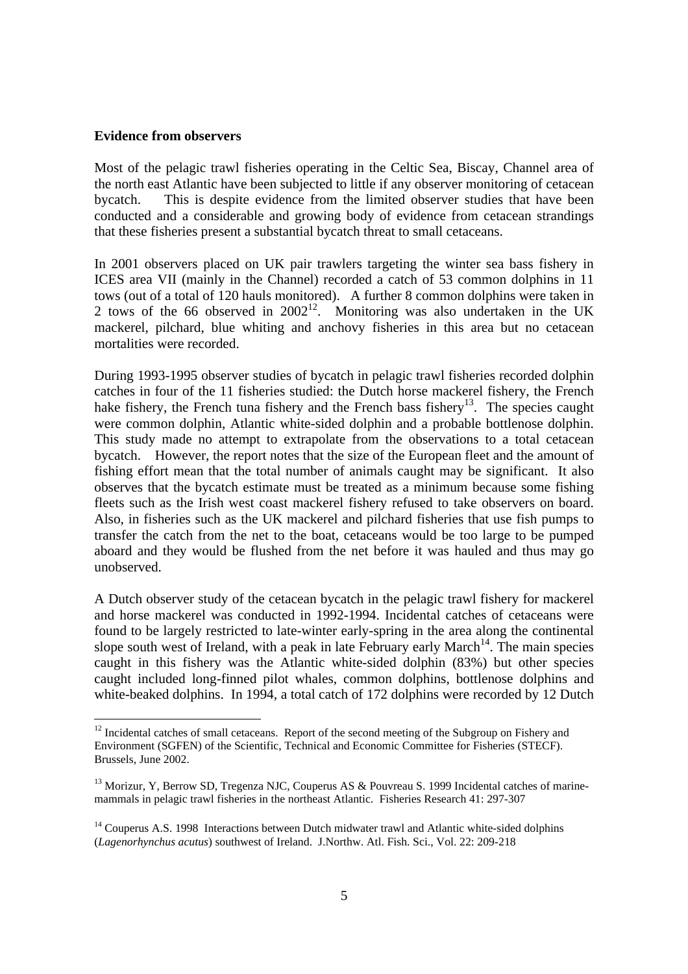#### **Evidence from observers**

 $\overline{a}$ 

Most of the pelagic trawl fisheries operating in the Celtic Sea, Biscay, Channel area of the north east Atlantic have been subjected to little if any observer monitoring of cetacean bycatch. This is despite evidence from the limited observer studies that have been conducted and a considerable and growing body of evidence from cetacean strandings that these fisheries present a substantial bycatch threat to small cetaceans.

In 2001 observers placed on UK pair trawlers targeting the winter sea bass fishery in ICES area VII (mainly in the Channel) recorded a catch of 53 common dolphins in 11 tows (out of a total of 120 hauls monitored). A further 8 common dolphins were taken in 2 tows of the 66 observed in  $2002^{12}$ . Monitoring was also undertaken in the UK mackerel, pilchard, blue whiting and anchovy fisheries in this area but no cetacean mortalities were recorded.

During 1993-1995 observer studies of bycatch in pelagic trawl fisheries recorded dolphin catches in four of the 11 fisheries studied: the Dutch horse mackerel fishery, the French hake fishery, the French tuna fishery and the French bass fishery<sup>13</sup>. The species caught were common dolphin, Atlantic white-sided dolphin and a probable bottlenose dolphin. This study made no attempt to extrapolate from the observations to a total cetacean bycatch. However, the report notes that the size of the European fleet and the amount of fishing effort mean that the total number of animals caught may be significant. It also observes that the bycatch estimate must be treated as a minimum because some fishing fleets such as the Irish west coast mackerel fishery refused to take observers on board. Also, in fisheries such as the UK mackerel and pilchard fisheries that use fish pumps to transfer the catch from the net to the boat, cetaceans would be too large to be pumped aboard and they would be flushed from the net before it was hauled and thus may go unobserved.

A Dutch observer study of the cetacean bycatch in the pelagic trawl fishery for mackerel and horse mackerel was conducted in 1992-1994. Incidental catches of cetaceans were found to be largely restricted to late-winter early-spring in the area along the continental slope south west of Ireland, with a peak in late February early March<sup>14</sup>. The main species caught in this fishery was the Atlantic white-sided dolphin (83%) but other species caught included long-finned pilot whales, common dolphins, bottlenose dolphins and white-beaked dolphins. In 1994, a total catch of 172 dolphins were recorded by 12 Dutch

 $12$  Incidental catches of small cetaceans. Report of the second meeting of the Subgroup on Fishery and Environment (SGFEN) of the Scientific, Technical and Economic Committee for Fisheries (STECF). Brussels, June 2002.

<sup>&</sup>lt;sup>13</sup> Morizur, Y, Berrow SD, Tregenza NJC, Couperus AS & Pouvreau S, 1999 Incidental catches of marinemammals in pelagic trawl fisheries in the northeast Atlantic. Fisheries Research 41: 297-307

<sup>&</sup>lt;sup>14</sup> Couperus A.S. 1998 Interactions between Dutch midwater trawl and Atlantic white-sided dolphins (*Lagenorhynchus acutus*) southwest of Ireland. J.Northw. Atl. Fish. Sci., Vol. 22: 209-218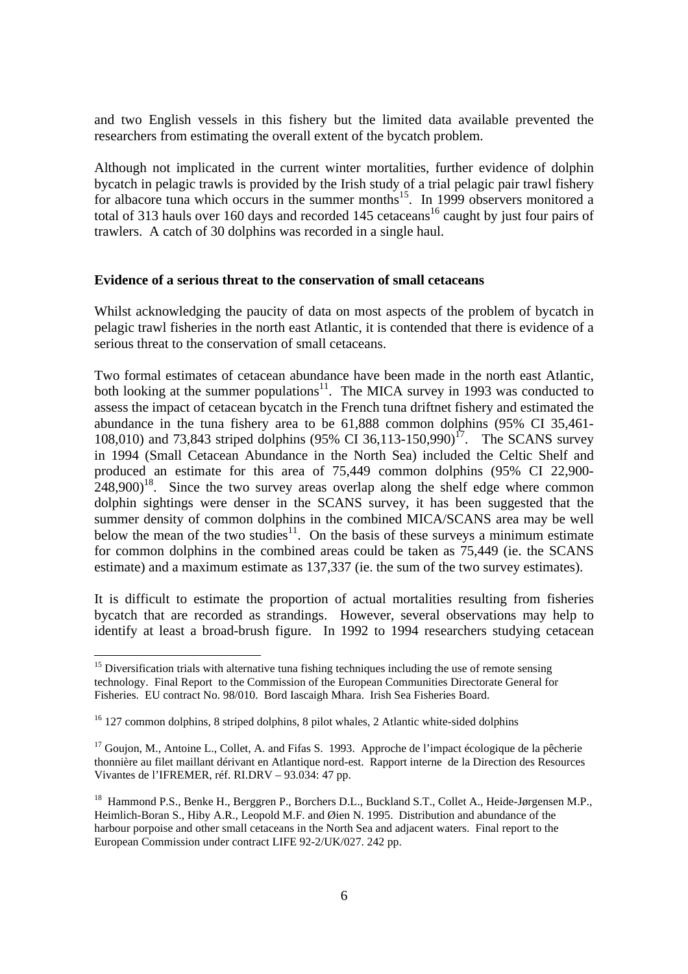and two English vessels in this fishery but the limited data available prevented the researchers from estimating the overall extent of the bycatch problem.

Although not implicated in the current winter mortalities, further evidence of dolphin bycatch in pelagic trawls is provided by the Irish study of a trial pelagic pair trawl fishery for albacore tuna which occurs in the summer months<sup>15</sup>. In 1999 observers monitored a total of 313 hauls over 160 days and recorded 145 cetaceans<sup>16</sup> caught by just four pairs of trawlers. A catch of 30 dolphins was recorded in a single haul.

#### **Evidence of a serious threat to the conservation of small cetaceans**

Whilst acknowledging the paucity of data on most aspects of the problem of bycatch in pelagic trawl fisheries in the north east Atlantic, it is contended that there is evidence of a serious threat to the conservation of small cetaceans.

Two formal estimates of cetacean abundance have been made in the north east Atlantic, both looking at the summer populations $11$ . The MICA survey in 1993 was conducted to assess the impact of cetacean bycatch in the French tuna driftnet fishery and estimated the abundance in the tuna fishery area to be 61,888 common dolphins (95% CI 35,461- 108,010) and 73,843 striped dolphins (95% CI 36,113-150,990)<sup>17</sup>. The SCANS survey in 1994 (Small Cetacean Abundance in the North Sea) included the Celtic Shelf and produced an estimate for this area of 75,449 common dolphins (95% CI 22,900-  $248,900$ <sup>18</sup>. Since the two survey areas overlap along the shelf edge where common dolphin sightings were denser in the SCANS survey, it has been suggested that the summer density of common dolphins in the combined MICA/SCANS area may be well below the mean of the two studies<sup>11</sup>. On the basis of these surveys a minimum estimate for common dolphins in the combined areas could be taken as 75,449 (ie. the SCANS estimate) and a maximum estimate as 137,337 (ie. the sum of the two survey estimates).

It is difficult to estimate the proportion of actual mortalities resulting from fisheries bycatch that are recorded as strandings. However, several observations may help to identify at least a broad-brush figure. In 1992 to 1994 researchers studying cetacean

<sup>&</sup>lt;sup>15</sup> Diversification trials with alternative tuna fishing techniques including the use of remote sensing technology. Final Report to the Commission of the European Communities Directorate General for Fisheries. EU contract No. 98/010. Bord Iascaigh Mhara. Irish Sea Fisheries Board.

<sup>&</sup>lt;sup>16</sup> 127 common dolphins, 8 striped dolphins, 8 pilot whales, 2 Atlantic white-sided dolphins

 $17$  Goujon, M., Antoine L., Collet, A. and Fifas S. 1993. Approche de l'impact écologique de la pêcherie thonnière au filet maillant dérivant en Atlantique nord-est. Rapport interne de la Direction des Resources Vivantes de l'IFREMER, réf. RI.DRV – 93.034: 47 pp.

<sup>&</sup>lt;sup>18</sup> Hammond P.S., Benke H., Berggren P., Borchers D.L., Buckland S.T., Collet A., Heide-Jørgensen M.P., Heimlich-Boran S., Hiby A.R., Leopold M.F. and Øien N. 1995. Distribution and abundance of the harbour porpoise and other small cetaceans in the North Sea and adjacent waters. Final report to the European Commission under contract LIFE 92-2/UK/027. 242 pp.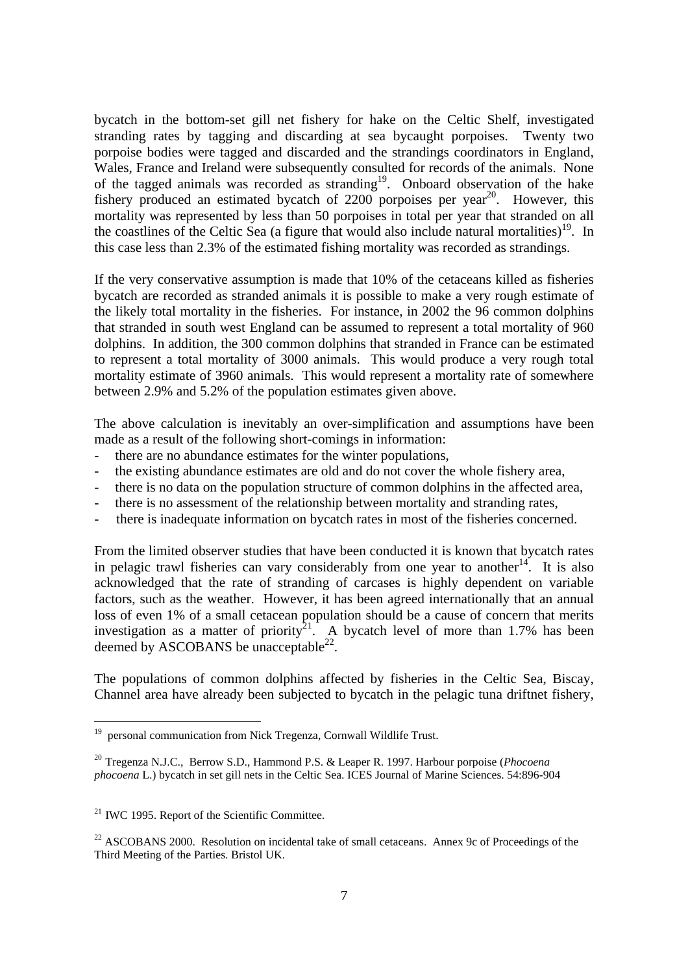bycatch in the bottom-set gill net fishery for hake on the Celtic Shelf, investigated stranding rates by tagging and discarding at sea bycaught porpoises. Twenty two porpoise bodies were tagged and discarded and the strandings coordinators in England, Wales, France and Ireland were subsequently consulted for records of the animals. None of the tagged animals was recorded as stranding<sup>19</sup>. Onboard observation of the hake fishery produced an estimated bycatch of  $2200$  porpoises per year<sup>20</sup>. However, this mortality was represented by less than 50 porpoises in total per year that stranded on all the coastlines of the Celtic Sea (a figure that would also include natural mortalities)<sup>19</sup>. In this case less than 2.3% of the estimated fishing mortality was recorded as strandings.

If the very conservative assumption is made that 10% of the cetaceans killed as fisheries bycatch are recorded as stranded animals it is possible to make a very rough estimate of the likely total mortality in the fisheries. For instance, in 2002 the 96 common dolphins that stranded in south west England can be assumed to represent a total mortality of 960 dolphins. In addition, the 300 common dolphins that stranded in France can be estimated to represent a total mortality of 3000 animals. This would produce a very rough total mortality estimate of 3960 animals. This would represent a mortality rate of somewhere between 2.9% and 5.2% of the population estimates given above.

The above calculation is inevitably an over-simplification and assumptions have been made as a result of the following short-comings in information:

- there are no abundance estimates for the winter populations,
- the existing abundance estimates are old and do not cover the whole fishery area,
- there is no data on the population structure of common dolphins in the affected area,
- there is no assessment of the relationship between mortality and stranding rates,
- there is inadequate information on bycatch rates in most of the fisheries concerned.

From the limited observer studies that have been conducted it is known that bycatch rates in pelagic trawl fisheries can vary considerably from one year to another<sup>14</sup>. It is also acknowledged that the rate of stranding of carcases is highly dependent on variable factors, such as the weather. However, it has been agreed internationally that an annual loss of even 1% of a small cetacean population should be a cause of concern that merits investigation as a matter of priority<sup>21</sup>. A bycatch level of more than 1.7% has been deemed by ASCOBANS be unacceptable $^{22}$ .

The populations of common dolphins affected by fisheries in the Celtic Sea, Biscay, Channel area have already been subjected to bycatch in the pelagic tuna driftnet fishery,

 $\frac{1}{19}$ personal communication from Nick Tregenza, Cornwall Wildlife Trust.

<sup>20</sup> Tregenza N.J.C., Berrow S.D., Hammond P.S. & Leaper R. 1997. Harbour porpoise (*Phocoena phocoena* L.) bycatch in set gill nets in the Celtic Sea. ICES Journal of Marine Sciences. 54:896-904

<sup>&</sup>lt;sup>21</sup> IWC 1995. Report of the Scientific Committee.

 $22$  ASCOBANS 2000. Resolution on incidental take of small cetaceans. Annex 9c of Proceedings of the Third Meeting of the Parties. Bristol UK.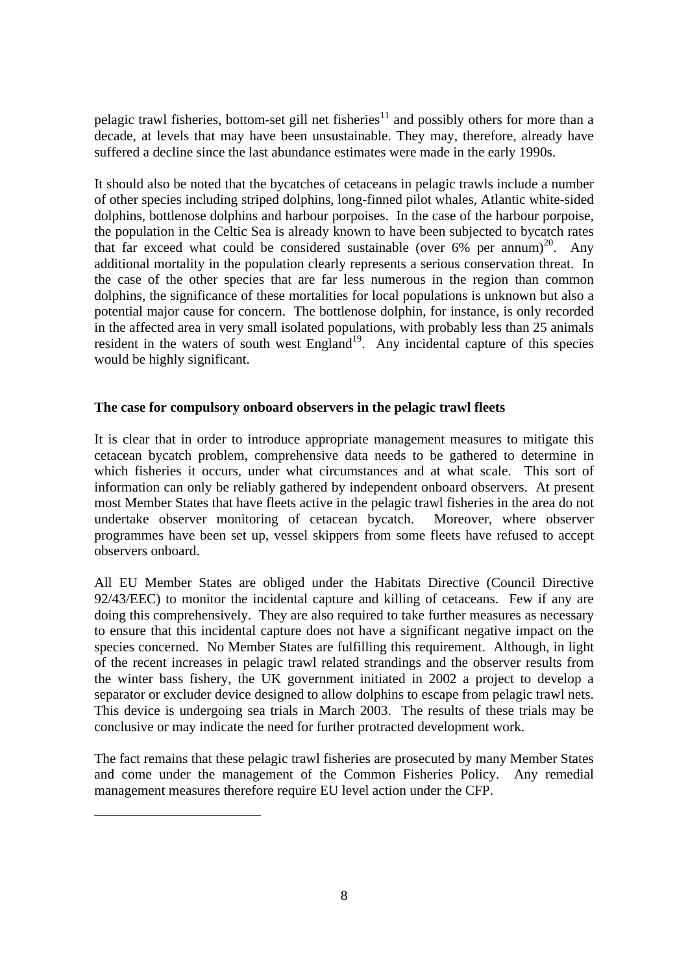pelagic trawl fisheries, bottom-set gill net fisheries<sup>11</sup> and possibly others for more than a decade, at levels that may have been unsustainable. They may, therefore, already have suffered a decline since the last abundance estimates were made in the early 1990s.

It should also be noted that the bycatches of cetaceans in pelagic trawls include a number of other species including striped dolphins, long-finned pilot whales, Atlantic white-sided dolphins, bottlenose dolphins and harbour porpoises. In the case of the harbour porpoise, the population in the Celtic Sea is already known to have been subjected to bycatch rates that far exceed what could be considered sustainable (over  $6\%$  per annum)<sup>20</sup>. Any additional mortality in the population clearly represents a serious conservation threat. In the case of the other species that are far less numerous in the region than common dolphins, the significance of these mortalities for local populations is unknown but also a potential major cause for concern. The bottlenose dolphin, for instance, is only recorded in the affected area in very small isolated populations, with probably less than 25 animals resident in the waters of south west  $England<sup>19</sup>$ . Any incidental capture of this species would be highly significant.

# **The case for compulsory onboard observers in the pelagic trawl fleets**

It is clear that in order to introduce appropriate management measures to mitigate this cetacean bycatch problem, comprehensive data needs to be gathered to determine in which fisheries it occurs, under what circumstances and at what scale. This sort of information can only be reliably gathered by independent onboard observers. At present most Member States that have fleets active in the pelagic trawl fisheries in the area do not undertake observer monitoring of cetacean bycatch. Moreover, where observer programmes have been set up, vessel skippers from some fleets have refused to accept observers onboard.

All EU Member States are obliged under the Habitats Directive (Council Directive 92/43/EEC) to monitor the incidental capture and killing of cetaceans. Few if any are doing this comprehensively. They are also required to take further measures as necessary to ensure that this incidental capture does not have a significant negative impact on the species concerned. No Member States are fulfilling this requirement. Although, in light of the recent increases in pelagic trawl related strandings and the observer results from the winter bass fishery, the UK government initiated in 2002 a project to develop a separator or excluder device designed to allow dolphins to escape from pelagic trawl nets. This device is undergoing sea trials in March 2003. The results of these trials may be conclusive or may indicate the need for further protracted development work.

The fact remains that these pelagic trawl fisheries are prosecuted by many Member States and come under the management of the Common Fisheries Policy. Any remedial management measures therefore require EU level action under the CFP.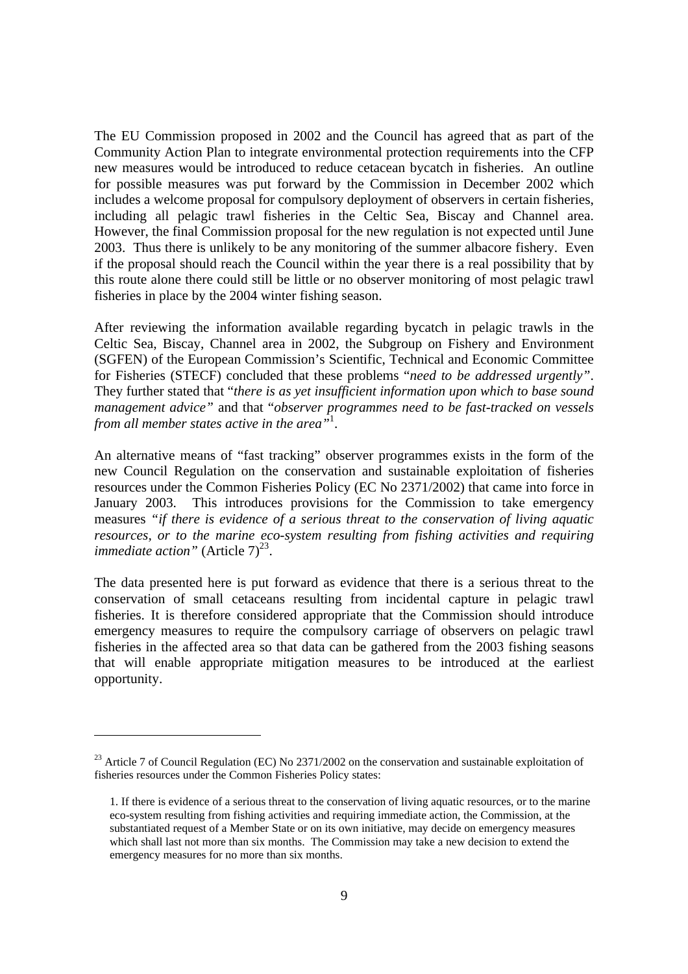The EU Commission proposed in 2002 and the Council has agreed that as part of the Community Action Plan to integrate environmental protection requirements into the CFP new measures would be introduced to reduce cetacean bycatch in fisheries. An outline for possible measures was put forward by the Commission in December 2002 which includes a welcome proposal for compulsory deployment of observers in certain fisheries, including all pelagic trawl fisheries in the Celtic Sea, Biscay and Channel area. However, the final Commission proposal for the new regulation is not expected until June 2003. Thus there is unlikely to be any monitoring of the summer albacore fishery. Even if the proposal should reach the Council within the year there is a real possibility that by this route alone there could still be little or no observer monitoring of most pelagic trawl fisheries in place by the 2004 winter fishing season.

After reviewing the information available regarding bycatch in pelagic trawls in the Celtic Sea, Biscay, Channel area in 2002, the Subgroup on Fishery and Environment (SGFEN) of the European Commission's Scientific, Technical and Economic Committee for Fisheries (STECF) concluded that these problems "*need to be addressed urgently"*. They further stated that "*there is as yet insufficient information upon which to base sound management advice"* and that "*observer programmes need to be fast-tracked on vessels from all member states active in the area"*<sup>1</sup> .

An alternative means of "fast tracking" observer programmes exists in the form of the new Council Regulation on the conservation and sustainable exploitation of fisheries resources under the Common Fisheries Policy (EC No 2371/2002) that came into force in January 2003. This introduces provisions for the Commission to take emergency measures *"if there is evidence of a serious threat to the conservation of living aquatic resources, or to the marine eco-system resulting from fishing activities and requiring immediate action*" (Article 7)<sup>23</sup>.

The data presented here is put forward as evidence that there is a serious threat to the conservation of small cetaceans resulting from incidental capture in pelagic trawl fisheries. It is therefore considered appropriate that the Commission should introduce emergency measures to require the compulsory carriage of observers on pelagic trawl fisheries in the affected area so that data can be gathered from the 2003 fishing seasons that will enable appropriate mitigation measures to be introduced at the earliest opportunity.

<sup>&</sup>lt;sup>23</sup> Article 7 of Council Regulation (EC) No 2371/2002 on the conservation and sustainable exploitation of fisheries resources under the Common Fisheries Policy states:

<sup>1.</sup> If there is evidence of a serious threat to the conservation of living aquatic resources, or to the marine eco-system resulting from fishing activities and requiring immediate action, the Commission, at the substantiated request of a Member State or on its own initiative, may decide on emergency measures which shall last not more than six months. The Commission may take a new decision to extend the emergency measures for no more than six months.